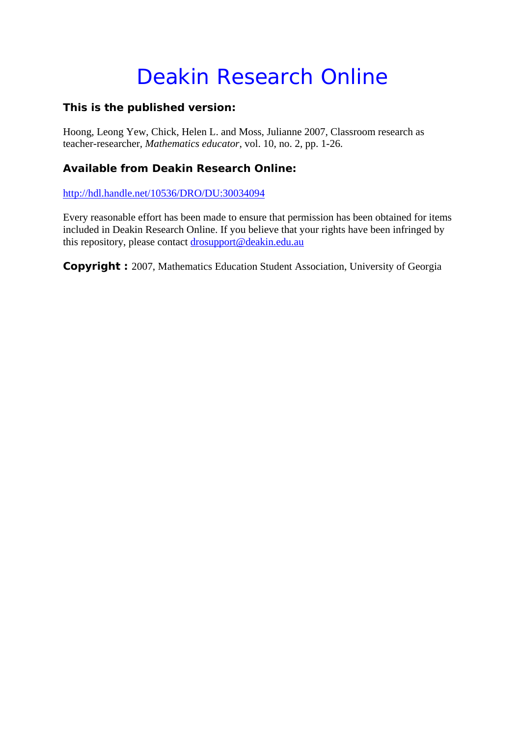# Deakin Research Online

# **This is the published version:**

Hoong, Leong Yew, Chick, Helen L. and Moss, Julianne 2007, Classroom research as teacher-researcher*, Mathematics educator*, vol. 10, no. 2, pp. 1-26.

# **Available from Deakin Research Online:**

http://hdl.handle.net/10536/DRO/DU:30034094

Every reasonable effort has been made to ensure that permission has been obtained for items included in Deakin Research Online. If you believe that your rights have been infringed by this repository, please contact drosupport@deakin.edu.au

**Copyright :** 2007, Mathematics Education Student Association, University of Georgia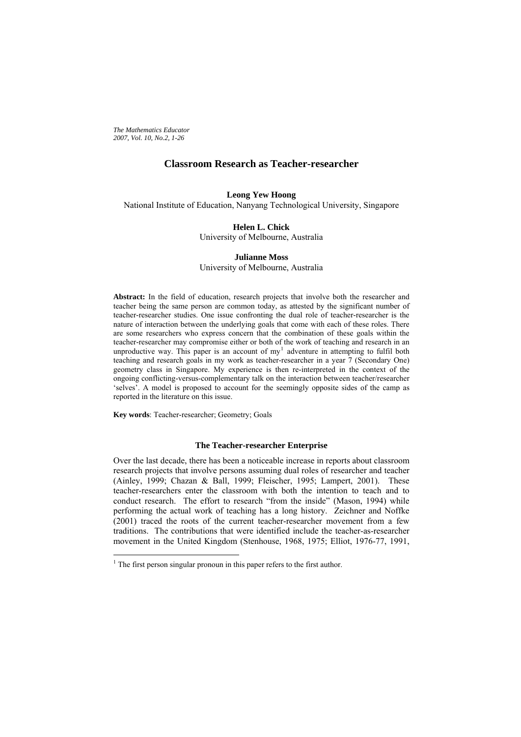*The Mathematics Educator 2007, Vol. 10, No.2, 1-26*

# **Classroom Research as Teacher-researcher**

# **Leong Yew Hoong**

National Institute of Education, Nanyang Technological University, Singapore

# **Helen L. Chick**

University of Melbourne, Australia

# **Julianne Moss**  University of Melbourne, Australia

**Abstract:** In the field of education, research projects that involve both the researcher and teacher being the same person are common today, as attested by the significant number of teacher-researcher studies. One issue confronting the dual role of teacher-researcher is the nature of interaction between the underlying goals that come with each of these roles. There are some researchers who express concern that the combination of these goals within the teacher-researcher may compromise either or both of the work of teaching and research in an unproductive way. This paper is an account of  $my<sup>1</sup>$  $my<sup>1</sup>$  $my<sup>1</sup>$  adventure in attempting to fulfil both teaching and research goals in my work as teacher-researcher in a year 7 (Secondary One) geometry class in Singapore. My experience is then re-interpreted in the context of the ongoing conflicting-versus-complementary talk on the interaction between teacher/researcher 'selves'. A model is proposed to account for the seemingly opposite sides of the camp as reported in the literature on this issue.

**Key words**: Teacher-researcher; Geometry; Goals

 $\overline{a}$ 

# **The Teacher-researcher Enterprise**

Over the last decade, there has been a noticeable increase in reports about classroom research projects that involve persons assuming dual roles of researcher and teacher (Ainley, 1999; Chazan & Ball, 1999; Fleischer, 1995; Lampert, 2001). These teacher-researchers enter the classroom with both the intention to teach and to conduct research. The effort to research "from the inside" (Mason, 1994) while performing the actual work of teaching has a long history. Zeichner and Noffke (2001) traced the roots of the current teacher-researcher movement from a few traditions. The contributions that were identified include the teacher-as-researcher movement in the United Kingdom (Stenhouse, 1968, 1975; Elliot, 1976-77, 1991,

<span id="page-1-0"></span> $<sup>1</sup>$  The first person singular pronoun in this paper refers to the first author.</sup>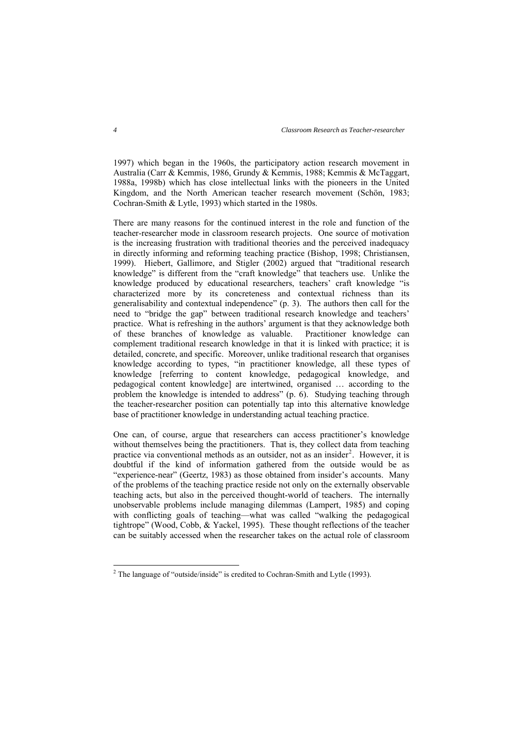1997) which began in the 1960s, the participatory action research movement in Australia (Carr & Kemmis, 1986, Grundy & Kemmis, 1988; Kemmis & McTaggart, 1988a, 1998b) which has close intellectual links with the pioneers in the United Kingdom, and the North American teacher research movement (Schön, 1983; Cochran-Smith & Lytle, 1993) which started in the 1980s.

There are many reasons for the continued interest in the role and function of the teacher-researcher mode in classroom research projects. One source of motivation is the increasing frustration with traditional theories and the perceived inadequacy in directly informing and reforming teaching practice (Bishop, 1998; Christiansen, 1999). Hiebert, Gallimore, and Stigler (2002) argued that "traditional research knowledge" is different from the "craft knowledge" that teachers use. Unlike the knowledge produced by educational researchers, teachers' craft knowledge "is characterized more by its concreteness and contextual richness than its generalisability and contextual independence" (p. 3). The authors then call for the need to "bridge the gap" between traditional research knowledge and teachers' practice. What is refreshing in the authors' argument is that they acknowledge both of these branches of knowledge as valuable. Practitioner knowledge can complement traditional research knowledge in that it is linked with practice; it is detailed, concrete, and specific. Moreover, unlike traditional research that organises knowledge according to types, "in practitioner knowledge, all these types of knowledge [referring to content knowledge, pedagogical knowledge, and pedagogical content knowledge] are intertwined, organised … according to the problem the knowledge is intended to address" (p. 6). Studying teaching through the teacher-researcher position can potentially tap into this alternative knowledge base of practitioner knowledge in understanding actual teaching practice.

One can, of course, argue that researchers can access practitioner's knowledge without themselves being the practitioners. That is, they collect data from teaching practice via conventional methods as an outsider, not as an insider<sup>[2](#page-2-0)</sup>. However, it is doubtful if the kind of information gathered from the outside would be as "experience-near" (Geertz, 1983) as those obtained from insider's accounts. Many of the problems of the teaching practice reside not only on the externally observable teaching acts, but also in the perceived thought-world of teachers. The internally unobservable problems include managing dilemmas (Lampert, 1985) and coping with conflicting goals of teaching—what was called "walking the pedagogical tightrope" (Wood, Cobb, & Yackel, 1995). These thought reflections of the teacher can be suitably accessed when the researcher takes on the actual role of classroom

 $\overline{a}$ 

<span id="page-2-0"></span><sup>&</sup>lt;sup>2</sup> The language of "outside/inside" is credited to Cochran-Smith and Lytle (1993).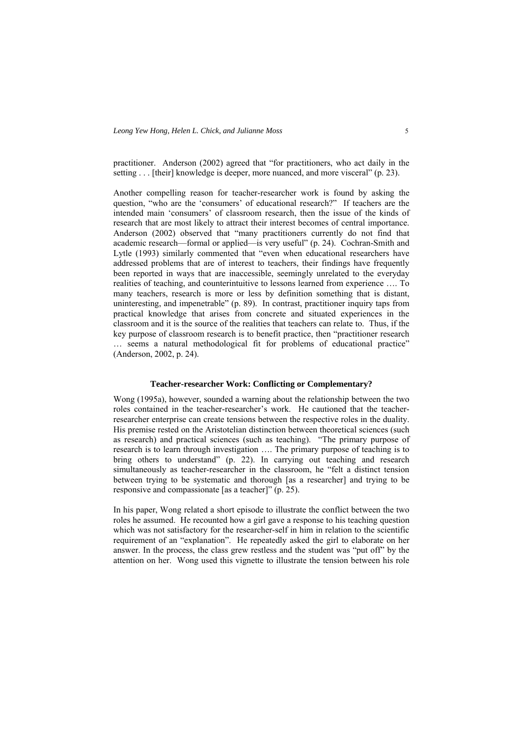practitioner. Anderson (2002) agreed that "for practitioners, who act daily in the setting . . . [their] knowledge is deeper, more nuanced, and more visceral" (p. 23).

Another compelling reason for teacher-researcher work is found by asking the question, "who are the 'consumers' of educational research?" If teachers are the intended main 'consumers' of classroom research, then the issue of the kinds of research that are most likely to attract their interest becomes of central importance. Anderson (2002) observed that "many practitioners currently do not find that academic research—formal or applied—is very useful" (p. 24). Cochran-Smith and Lytle (1993) similarly commented that "even when educational researchers have addressed problems that are of interest to teachers, their findings have frequently been reported in ways that are inaccessible, seemingly unrelated to the everyday realities of teaching, and counterintuitive to lessons learned from experience …. To many teachers, research is more or less by definition something that is distant, uninteresting, and impenetrable" (p. 89). In contrast, practitioner inquiry taps from practical knowledge that arises from concrete and situated experiences in the classroom and it is the source of the realities that teachers can relate to. Thus, if the key purpose of classroom research is to benefit practice, then "practitioner research … seems a natural methodological fit for problems of educational practice" (Anderson, 2002, p. 24).

#### **Teacher-researcher Work: Conflicting or Complementary?**

Wong (1995a), however, sounded a warning about the relationship between the two roles contained in the teacher-researcher's work. He cautioned that the teacherresearcher enterprise can create tensions between the respective roles in the duality. His premise rested on the Aristotelian distinction between theoretical sciences (such as research) and practical sciences (such as teaching). "The primary purpose of research is to learn through investigation …. The primary purpose of teaching is to bring others to understand" (p. 22). In carrying out teaching and research simultaneously as teacher-researcher in the classroom, he "felt a distinct tension between trying to be systematic and thorough [as a researcher] and trying to be responsive and compassionate [as a teacher]" (p. 25).

In his paper, Wong related a short episode to illustrate the conflict between the two roles he assumed. He recounted how a girl gave a response to his teaching question which was not satisfactory for the researcher-self in him in relation to the scientific requirement of an "explanation". He repeatedly asked the girl to elaborate on her answer. In the process, the class grew restless and the student was "put off" by the attention on her. Wong used this vignette to illustrate the tension between his role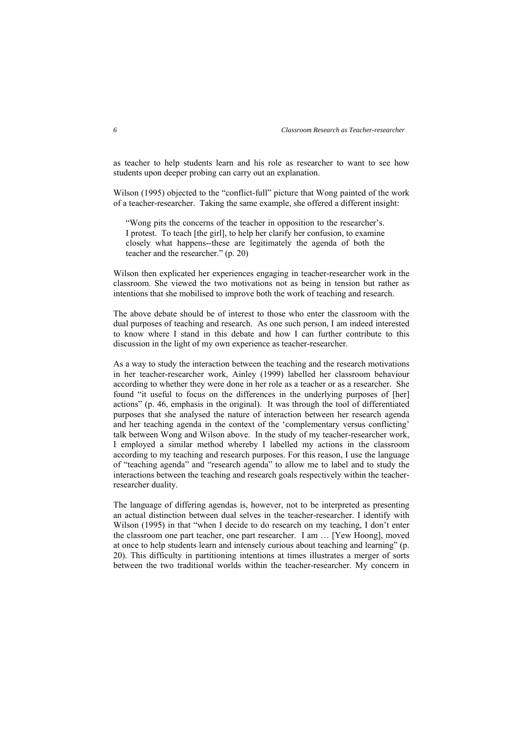as teacher to help students learn and his role as researcher to want to see how students upon deeper probing can carry out an explanation.

Wilson (1995) objected to the "conflict-full" picture that Wong painted of the work of a teacher-researcher. Taking the same example, she offered a different insight:

"Wong pits the concerns of the teacher in opposition to the researcher's. I protest. To teach [the girl], to help her clarify her confusion, to examine closely what happens--these are legitimately the agenda of both the teacher and the researcher." (p. 20)

Wilson then explicated her experiences engaging in teacher-researcher work in the classroom. She viewed the two motivations not as being in tension but rather as intentions that she mobilised to improve both the work of teaching and research.

The above debate should be of interest to those who enter the classroom with the dual purposes of teaching and research. As one such person, I am indeed interested to know where I stand in this debate and how I can further contribute to this discussion in the light of my own experience as teacher-researcher.

As a way to study the interaction between the teaching and the research motivations in her teacher-researcher work, Ainley (1999) labelled her classroom behaviour according to whether they were done in her role as a teacher or as a researcher. She found "it useful to focus on the differences in the underlying purposes of [her] actions" (p. 46, emphasis in the original). It was through the tool of differentiated purposes that she analysed the nature of interaction between her research agenda and her teaching agenda in the context of the 'complementary versus conflicting' talk between Wong and Wilson above. In the study of my teacher-researcher work, I employed a similar method whereby I labelled my actions in the classroom according to my teaching and research purposes. For this reason, I use the language of "teaching agenda" and "research agenda" to allow me to label and to study the interactions between the teaching and research goals respectively within the teacherresearcher duality.

The language of differing agendas is, however, not to be interpreted as presenting an actual distinction between dual selves in the teacher-researcher. I identify with Wilson (1995) in that "when I decide to do research on my teaching, I don't enter the classroom one part teacher, one part researcher. I am … [Yew Hoong], moved at once to help students learn and intensely curious about teaching and learning" (p. 20). This difficulty in partitioning intentions at times illustrates a merger of sorts between the two traditional worlds within the teacher-researcher. My concern in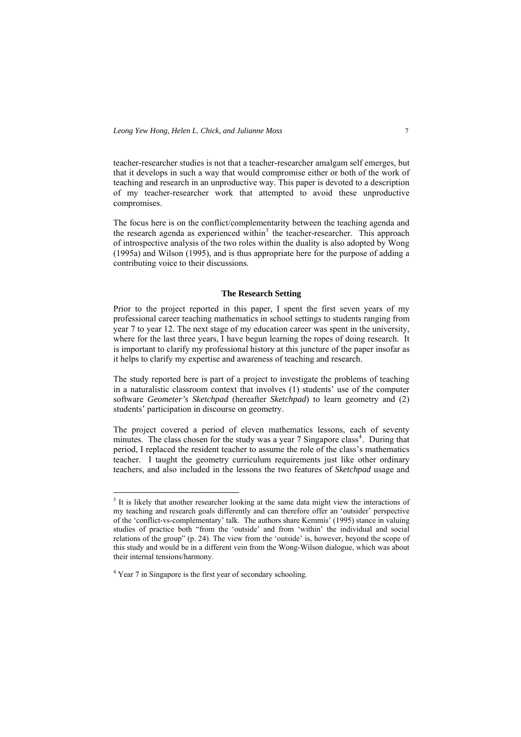teacher-researcher studies is not that a teacher-researcher amalgam self emerges, but that it develops in such a way that would compromise either or both of the work of teaching and research in an unproductive way. This paper is devoted to a description of my teacher-researcher work that attempted to avoid these unproductive compromises.

The focus here is on the conflict/complementarity between the teaching agenda and the research agenda as experienced within<sup>[3](#page-5-0)</sup> the teacher-researcher. This approach of introspective analysis of the two roles within the duality is also adopted by Wong (1995a) and Wilson (1995), and is thus appropriate here for the purpose of adding a contributing voice to their discussions.

#### **The Research Setting**

Prior to the project reported in this paper, I spent the first seven years of my professional career teaching mathematics in school settings to students ranging from year 7 to year 12. The next stage of my education career was spent in the university, where for the last three years, I have begun learning the ropes of doing research. It is important to clarify my professional history at this juncture of the paper insofar as it helps to clarify my expertise and awareness of teaching and research.

The study reported here is part of a project to investigate the problems of teaching in a naturalistic classroom context that involves (1) students' use of the computer software *Geometer's Sketchpad* (hereafter *Sketchpad*) to learn geometry and (2) students' participation in discourse on geometry.

The project covered a period of eleven mathematics lessons, each of seventy minutes. The class chosen for the study was a year 7 Singapore class<sup>[4](#page-5-1)</sup>. During that period, I replaced the resident teacher to assume the role of the class's mathematics teacher. I taught the geometry curriculum requirements just like other ordinary teachers, and also included in the lessons the two features of *Sketchpad* usage and

<span id="page-5-0"></span><sup>&</sup>lt;sup>3</sup> It is likely that another researcher looking at the same data might view the interactions of my teaching and research goals differently and can therefore offer an 'outsider' perspective of the 'conflict-vs-complementary' talk. The authors share Kemmis' (1995) stance in valuing studies of practice both "from the 'outside' and from 'within' the individual and social relations of the group" (p. 24). The view from the 'outside' is, however, beyond the scope of this study and would be in a different vein from the Wong-Wilson dialogue, which was about their internal tensions/harmony.

<span id="page-5-1"></span><sup>&</sup>lt;sup>4</sup> Year 7 in Singapore is the first year of secondary schooling.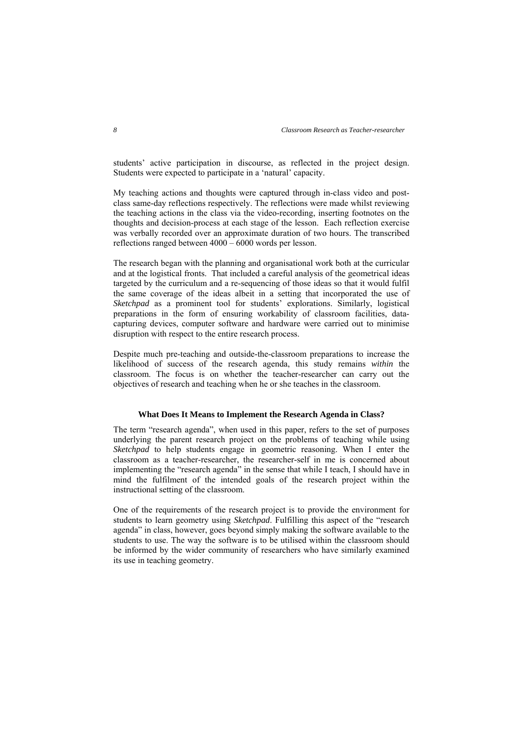students' active participation in discourse, as reflected in the project design. Students were expected to participate in a 'natural' capacity.

My teaching actions and thoughts were captured through in-class video and postclass same-day reflections respectively. The reflections were made whilst reviewing the teaching actions in the class via the video-recording, inserting footnotes on the thoughts and decision-process at each stage of the lesson. Each reflection exercise was verbally recorded over an approximate duration of two hours. The transcribed reflections ranged between 4000 – 6000 words per lesson.

The research began with the planning and organisational work both at the curricular and at the logistical fronts. That included a careful analysis of the geometrical ideas targeted by the curriculum and a re-sequencing of those ideas so that it would fulfil the same coverage of the ideas albeit in a setting that incorporated the use of *Sketchpad* as a prominent tool for students' explorations. Similarly, logistical preparations in the form of ensuring workability of classroom facilities, datacapturing devices, computer software and hardware were carried out to minimise disruption with respect to the entire research process.

Despite much pre-teaching and outside-the-classroom preparations to increase the likelihood of success of the research agenda, this study remains *within* the classroom. The focus is on whether the teacher-researcher can carry out the objectives of research and teaching when he or she teaches in the classroom.

#### **What Does It Means to Implement the Research Agenda in Class?**

The term "research agenda", when used in this paper, refers to the set of purposes underlying the parent research project on the problems of teaching while using *Sketchpad* to help students engage in geometric reasoning. When I enter the classroom as a teacher-researcher, the researcher-self in me is concerned about implementing the "research agenda" in the sense that while I teach, I should have in mind the fulfilment of the intended goals of the research project within the instructional setting of the classroom.

One of the requirements of the research project is to provide the environment for students to learn geometry using *Sketchpad*. Fulfilling this aspect of the "research agenda" in class, however, goes beyond simply making the software available to the students to use. The way the software is to be utilised within the classroom should be informed by the wider community of researchers who have similarly examined its use in teaching geometry.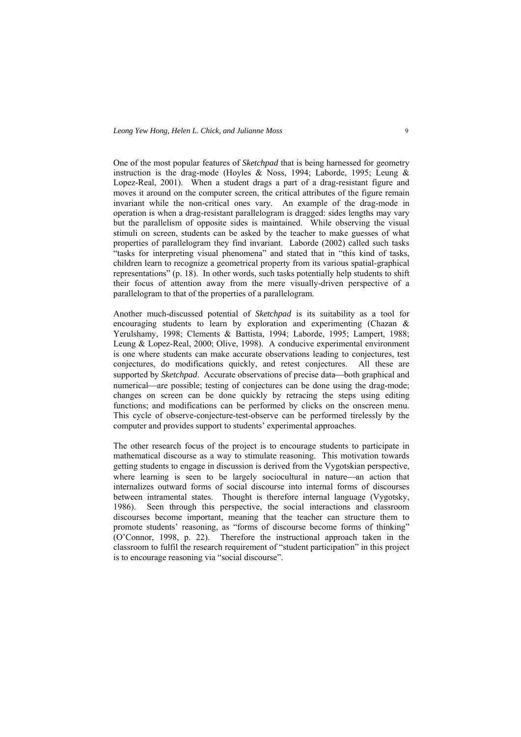One of the most popular features of *Sketchpad* that is being harnessed for geometry instruction is the drag-mode (Hoyles & Noss, 1994; Laborde, 1995; Leung & Lopez-Real, 2001). When a student drags a part of a drag-resistant figure and moves it around on the computer screen, the critical attributes of the figure remain invariant while the non-critical ones vary. An example of the drag-mode in operation is when a drag-resistant parallelogram is dragged: sides lengths may vary but the parallelism of opposite sides is maintained. While observing the visual stimuli on screen, students can be asked by the teacher to make guesses of what properties of parallelogram they find invariant. Laborde (2002) called such tasks "tasks for interpreting visual phenomena" and stated that in "this kind of tasks, children learn to recognize a geometrical property from its various spatial-graphical representations" (p. 18). In other words, such tasks potentially help students to shift their focus of attention away from the mere visually-driven perspective of a parallelogram to that of the properties of a parallelogram.

Another much-discussed potential of *Sketchpad* is its suitability as a tool for encouraging students to learn by exploration and experimenting (Chazan & Yerulshamy, 1998; Clements & Battista, 1994; Laborde, 1995; Lampert, 1988; Leung & Lopez-Real, 2000; Olive, 1998). A conducive experimental environment is one where students can make accurate observations leading to conjectures, test conjectures, do modifications quickly, and retest conjectures. All these are supported by *Sketchpad*. Accurate observations of precise data—both graphical and numerical—are possible; testing of conjectures can be done using the drag-mode; changes on screen can be done quickly by retracing the steps using editing functions; and modifications can be performed by clicks on the onscreen menu. This cycle of observe-conjecture-test-observe can be performed tirelessly by the computer and provides support to students' experimental approaches.

The other research focus of the project is to encourage students to participate in mathematical discourse as a way to stimulate reasoning. This motivation towards getting students to engage in discussion is derived from the Vygotskian perspective, where learning is seen to be largely sociocultural in nature—an action that internalizes outward forms of social discourse into internal forms of discourses between intramental states. Thought is therefore internal language (Vygotsky, 1986). Seen through this perspective, the social interactions and classroom discourses become important, meaning that the teacher can structure them to promote students' reasoning, as "forms of discourse become forms of thinking" (O'Connor, 1998, p. 22). Therefore the instructional approach taken in the classroom to fulfil the research requirement of "student participation" in this project is to encourage reasoning via "social discourse".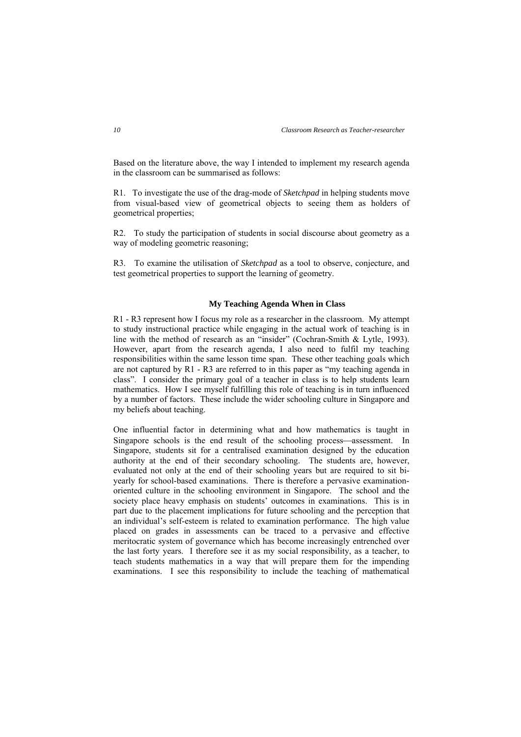Based on the literature above, the way I intended to implement my research agenda in the classroom can be summarised as follows:

R1. To investigate the use of the drag-mode of *Sketchpad* in helping students move from visual-based view of geometrical objects to seeing them as holders of geometrical properties;

R2. To study the participation of students in social discourse about geometry as a way of modeling geometric reasoning;

R3. To examine the utilisation of *Sketchpad* as a tool to observe, conjecture, and test geometrical properties to support the learning of geometry.

## **My Teaching Agenda When in Class**

R1 - R3 represent how I focus my role as a researcher in the classroom. My attempt to study instructional practice while engaging in the actual work of teaching is in line with the method of research as an "insider" (Cochran-Smith & Lytle, 1993). However, apart from the research agenda, I also need to fulfil my teaching responsibilities within the same lesson time span. These other teaching goals which are not captured by R1 - R3 are referred to in this paper as "my teaching agenda in class". I consider the primary goal of a teacher in class is to help students learn mathematics. How I see myself fulfilling this role of teaching is in turn influenced by a number of factors. These include the wider schooling culture in Singapore and my beliefs about teaching.

One influential factor in determining what and how mathematics is taught in Singapore schools is the end result of the schooling process—assessment. In Singapore, students sit for a centralised examination designed by the education authority at the end of their secondary schooling. The students are, however, evaluated not only at the end of their schooling years but are required to sit biyearly for school-based examinations. There is therefore a pervasive examinationoriented culture in the schooling environment in Singapore. The school and the society place heavy emphasis on students' outcomes in examinations. This is in part due to the placement implications for future schooling and the perception that an individual's self-esteem is related to examination performance. The high value placed on grades in assessments can be traced to a pervasive and effective meritocratic system of governance which has become increasingly entrenched over the last forty years. I therefore see it as my social responsibility, as a teacher, to teach students mathematics in a way that will prepare them for the impending examinations. I see this responsibility to include the teaching of mathematical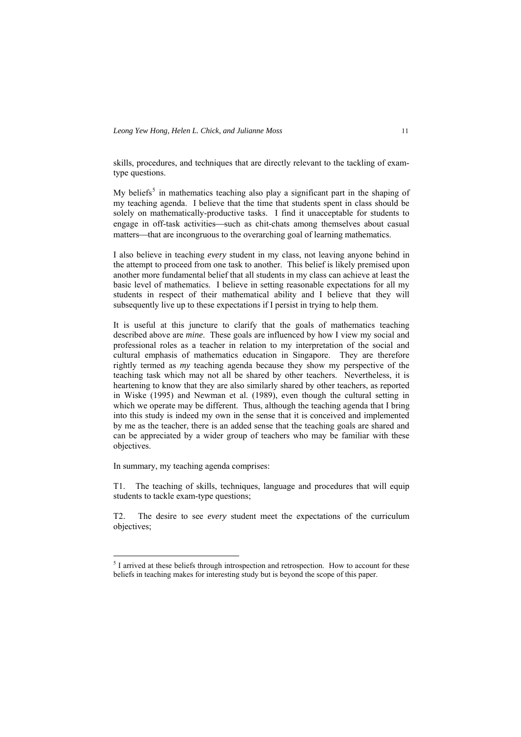skills, procedures, and techniques that are directly relevant to the tackling of examtype questions.

My beliefs<sup>[5](#page-9-0)</sup> in mathematics teaching also play a significant part in the shaping of my teaching agenda. I believe that the time that students spent in class should be solely on mathematically-productive tasks. I find it unacceptable for students to engage in off-task activities—such as chit-chats among themselves about casual matters—that are incongruous to the overarching goal of learning mathematics.

I also believe in teaching *every* student in my class, not leaving anyone behind in the attempt to proceed from one task to another. This belief is likely premised upon another more fundamental belief that all students in my class can achieve at least the basic level of mathematics. I believe in setting reasonable expectations for all my students in respect of their mathematical ability and I believe that they will subsequently live up to these expectations if I persist in trying to help them.

It is useful at this juncture to clarify that the goals of mathematics teaching described above are *mine*. These goals are influenced by how I view my social and professional roles as a teacher in relation to my interpretation of the social and cultural emphasis of mathematics education in Singapore. They are therefore rightly termed as *my* teaching agenda because they show my perspective of the teaching task which may not all be shared by other teachers. Nevertheless, it is heartening to know that they are also similarly shared by other teachers, as reported in Wiske (1995) and Newman et al. (1989), even though the cultural setting in which we operate may be different. Thus, although the teaching agenda that I bring into this study is indeed my own in the sense that it is conceived and implemented by me as the teacher, there is an added sense that the teaching goals are shared and can be appreciated by a wider group of teachers who may be familiar with these objectives.

In summary, my teaching agenda comprises:

 $\overline{a}$ 

T1. The teaching of skills, techniques, language and procedures that will equip students to tackle exam-type questions;

T2. The desire to see *every* student meet the expectations of the curriculum objectives;

<span id="page-9-0"></span> $<sup>5</sup>$  I arrived at these beliefs through introspection and retrospection. How to account for these</sup> beliefs in teaching makes for interesting study but is beyond the scope of this paper.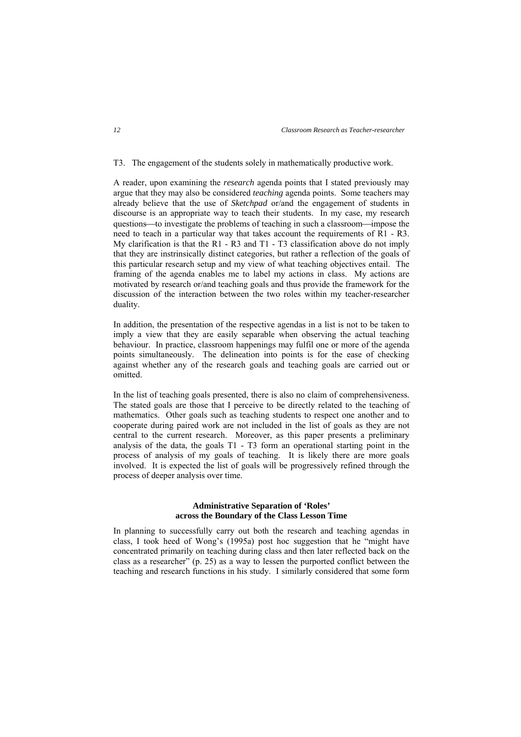T3. The engagement of the students solely in mathematically productive work.

A reader, upon examining the *research* agenda points that I stated previously may argue that they may also be considered *teaching* agenda points. Some teachers may already believe that the use of *Sketchpad* or/and the engagement of students in discourse is an appropriate way to teach their students. In my case, my research questions—to investigate the problems of teaching in such a classroom—impose the need to teach in a particular way that takes account the requirements of R1 - R3. My clarification is that the R1 - R3 and T1 - T3 classification above do not imply that they are instrinsically distinct categories, but rather a reflection of the goals of this particular research setup and my view of what teaching objectives entail. The framing of the agenda enables me to label my actions in class. My actions are motivated by research or/and teaching goals and thus provide the framework for the discussion of the interaction between the two roles within my teacher-researcher duality.

In addition, the presentation of the respective agendas in a list is not to be taken to imply a view that they are easily separable when observing the actual teaching behaviour. In practice, classroom happenings may fulfil one or more of the agenda points simultaneously. The delineation into points is for the ease of checking against whether any of the research goals and teaching goals are carried out or omitted.

In the list of teaching goals presented, there is also no claim of comprehensiveness. The stated goals are those that I perceive to be directly related to the teaching of mathematics. Other goals such as teaching students to respect one another and to cooperate during paired work are not included in the list of goals as they are not central to the current research. Moreover, as this paper presents a preliminary analysis of the data, the goals T1 - T3 form an operational starting point in the process of analysis of my goals of teaching. It is likely there are more goals involved. It is expected the list of goals will be progressively refined through the process of deeper analysis over time.

## **Administrative Separation of 'Roles' across the Boundary of the Class Lesson Time**

In planning to successfully carry out both the research and teaching agendas in class, I took heed of Wong's (1995a) post hoc suggestion that he "might have concentrated primarily on teaching during class and then later reflected back on the class as a researcher" (p. 25) as a way to lessen the purported conflict between the teaching and research functions in his study. I similarly considered that some form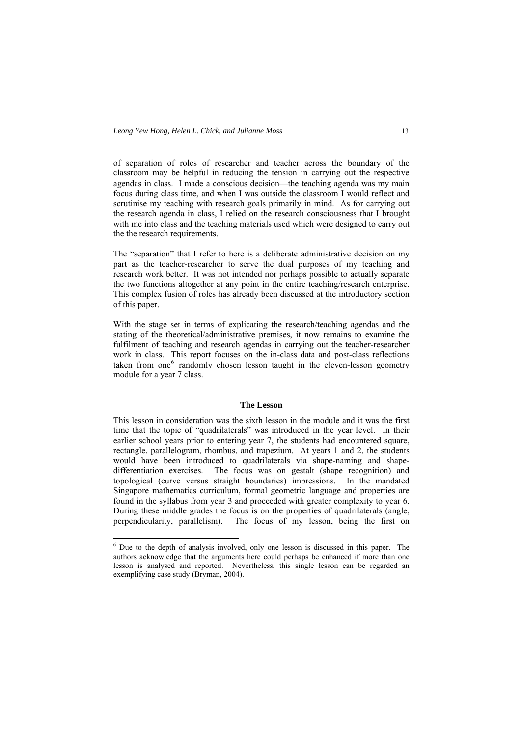of separation of roles of researcher and teacher across the boundary of the classroom may be helpful in reducing the tension in carrying out the respective agendas in class. I made a conscious decision—the teaching agenda was my main focus during class time, and when I was outside the classroom I would reflect and scrutinise my teaching with research goals primarily in mind. As for carrying out the research agenda in class, I relied on the research consciousness that I brought with me into class and the teaching materials used which were designed to carry out the the research requirements.

The "separation" that I refer to here is a deliberate administrative decision on my part as the teacher-researcher to serve the dual purposes of my teaching and research work better. It was not intended nor perhaps possible to actually separate the two functions altogether at any point in the entire teaching/research enterprise. This complex fusion of roles has already been discussed at the introductory section of this paper.

With the stage set in terms of explicating the research/teaching agendas and the stating of the theoretical/administrative premises, it now remains to examine the fulfilment of teaching and research agendas in carrying out the teacher-researcher work in class. This report focuses on the in-class data and post-class reflections taken from one $<sup>6</sup>$  $<sup>6</sup>$  $<sup>6</sup>$  randomly chosen lesson taught in the eleven-lesson geometry</sup> module for a year 7 class.

#### **The Lesson**

This lesson in consideration was the sixth lesson in the module and it was the first time that the topic of "quadrilaterals" was introduced in the year level. In their earlier school years prior to entering year 7, the students had encountered square, rectangle, parallelogram, rhombus, and trapezium. At years 1 and 2, the students would have been introduced to quadrilaterals via shape-naming and shapedifferentiation exercises. The focus was on gestalt (shape recognition) and topological (curve versus straight boundaries) impressions. In the mandated Singapore mathematics curriculum, formal geometric language and properties are found in the syllabus from year 3 and proceeded with greater complexity to year 6. During these middle grades the focus is on the properties of quadrilaterals (angle, perpendicularity, parallelism). The focus of my lesson, being the first on

 $\overline{a}$ 

<span id="page-11-0"></span><sup>&</sup>lt;sup>6</sup> Due to the depth of analysis involved, only one lesson is discussed in this paper. The authors acknowledge that the arguments here could perhaps be enhanced if more than one lesson is analysed and reported. Nevertheless, this single lesson can be regarded an exemplifying case study (Bryman, 2004).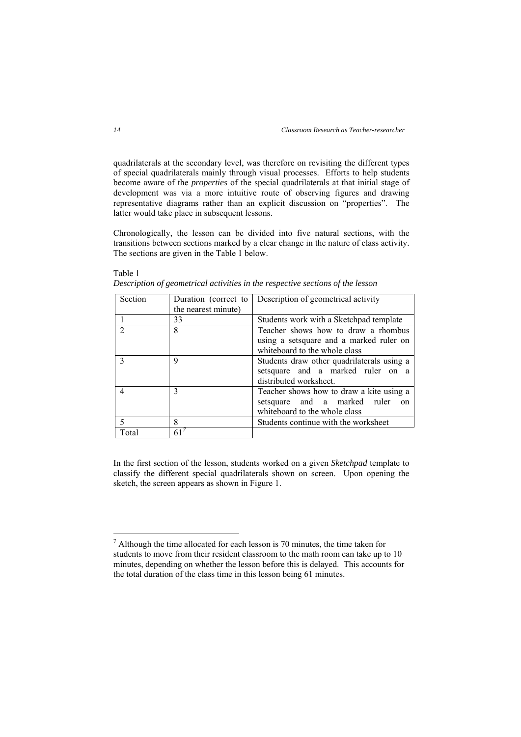quadrilaterals at the secondary level, was therefore on revisiting the different types of special quadrilaterals mainly through visual processes. Efforts to help students become aware of the *properties* of the special quadrilaterals at that initial stage of development was via a more intuitive route of observing figures and drawing representative diagrams rather than an explicit discussion on "properties". The latter would take place in subsequent lessons.

Chronologically, the lesson can be divided into five natural sections, with the transitions between sections marked by a clear change in the nature of class activity. The sections are given in the Table 1 below.

| Section        | Duration (correct to | Description of geometrical activity           |
|----------------|----------------------|-----------------------------------------------|
|                | the nearest minute)  |                                               |
|                | 33                   | Students work with a Sketchpad template       |
| $\mathfrak{D}$ | 8                    | Teacher shows how to draw a rhombus           |
|                |                      | using a setsquare and a marked ruler on       |
|                |                      | whiteboard to the whole class                 |
| 3              | 9                    | Students draw other quadrilaterals using a    |
|                |                      | setsquare and a marked ruler on a             |
|                |                      | distributed worksheet.                        |
| 4              | $\mathcal{F}$        | Teacher shows how to draw a kite using a      |
|                |                      | setsquare and a marked ruler<br><sub>on</sub> |
|                |                      | whiteboard to the whole class                 |
| 5              | 8                    | Students continue with the worksheet          |
| Total          | 61                   |                                               |

Table 1 *Description of geometrical activities in the respective sections of the lesson* 

In the first section of the lesson, students worked on a given *Sketchpad* template to classify the different special quadrilaterals shown on screen. Upon opening the sketch, the screen appears as shown in Figure 1.

<span id="page-12-0"></span><sup>&</sup>lt;sup>7</sup> Although the time allocated for each lesson is 70 minutes, the time taken for students to move from their resident classroom to the math room can take up to 10 minutes, depending on whether the lesson before this is delayed. This accounts for the total duration of the class time in this lesson being 61 minutes.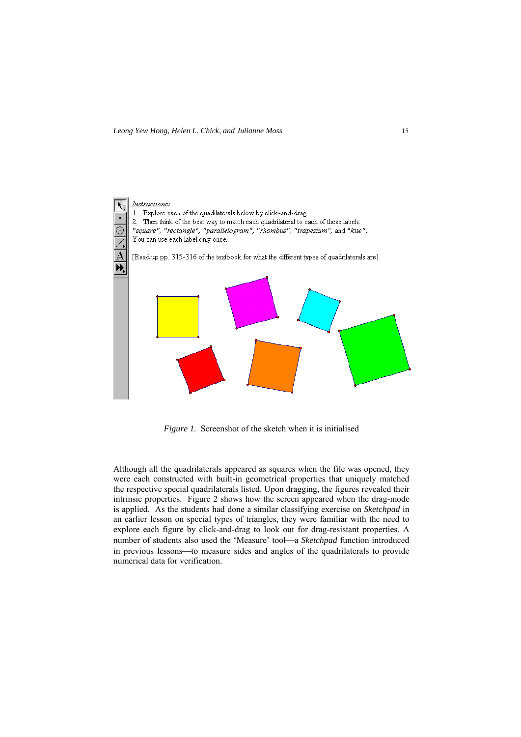

*Figure 1.* Screenshot of the sketch when it is initialised

Although all the quadrilaterals appeared as squares when the file was opened, they were each constructed with built-in geometrical properties that uniquely matched the respective special quadrilaterals listed. Upon dragging, the figures revealed their intrinsic properties. Figure 2 shows how the screen appeared when the drag-mode is applied. As the students had done a similar classifying exercise on *Sketchpad* in an earlier lesson on special types of triangles, they were familiar with the need to explore each figure by click-and-drag to look out for drag-resistant properties. A number of students also used the 'Measure' tool—a *Sketchpad* function introduced in previous lessons—to measure sides and angles of the quadrilaterals to provide numerical data for verification.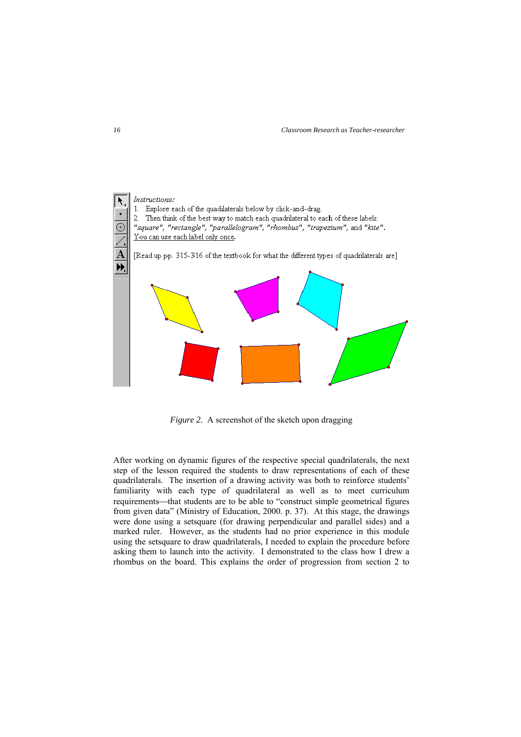

*Figure 2.* A screenshot of the sketch upon dragging

After working on dynamic figures of the respective special quadrilaterals, the next step of the lesson required the students to draw representations of each of these quadrilaterals. The insertion of a drawing activity was both to reinforce students' familiarity with each type of quadrilateral as well as to meet curriculum requirements—that students are to be able to "construct simple geometrical figures from given data" (Ministry of Education, 2000. p. 37). At this stage, the drawings were done using a setsquare (for drawing perpendicular and parallel sides) and a marked ruler. However, as the students had no prior experience in this module using the setsquare to draw quadrilaterals, I needed to explain the procedure before asking them to launch into the activity. I demonstrated to the class how I drew a rhombus on the board. This explains the order of progression from section 2 to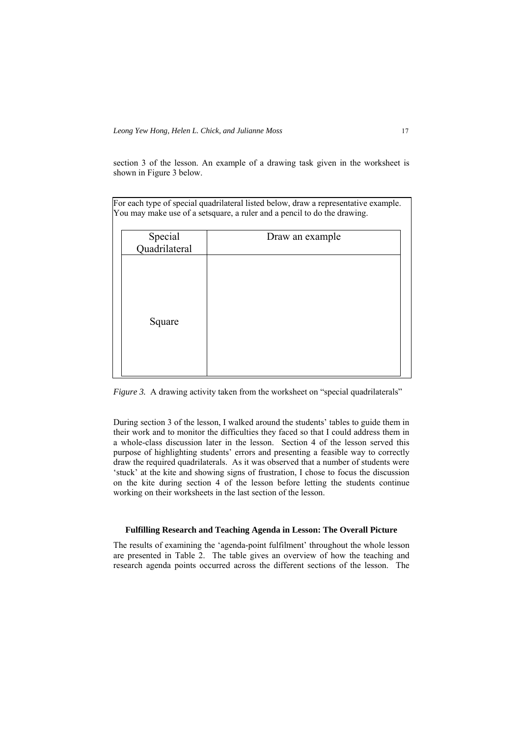section 3 of the lesson. An example of a drawing task given in the worksheet is shown in Figure 3 below.

For each type of special quadrilateral listed below, draw a representative example. You may make use of a setsquare, a ruler and a pencil to do the drawing.

| Special<br>Quadrilateral | Draw an example |
|--------------------------|-----------------|
| Square                   |                 |

*Figure 3.* A drawing activity taken from the worksheet on "special quadrilaterals"

During section 3 of the lesson, I walked around the students' tables to guide them in their work and to monitor the difficulties they faced so that I could address them in a whole-class discussion later in the lesson. Section 4 of the lesson served this purpose of highlighting students' errors and presenting a feasible way to correctly draw the required quadrilaterals. As it was observed that a number of students were 'stuck' at the kite and showing signs of frustration, I chose to focus the discussion on the kite during section 4 of the lesson before letting the students continue working on their worksheets in the last section of the lesson.

#### **Fulfilling Research and Teaching Agenda in Lesson: The Overall Picture**

The results of examining the 'agenda-point fulfilment' throughout the whole lesson are presented in Table 2. The table gives an overview of how the teaching and research agenda points occurred across the different sections of the lesson. The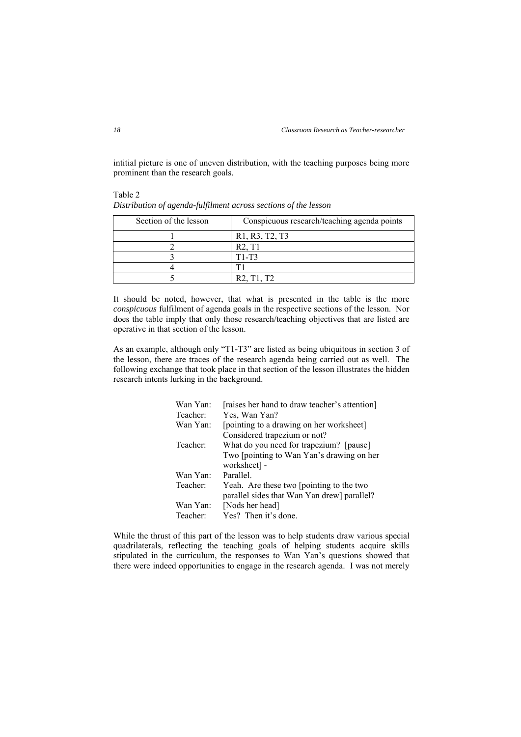intitial picture is one of uneven distribution, with the teaching purposes being more prominent than the research goals.

| Section of the lesson | Conspicuous research/teaching agenda points      |
|-----------------------|--------------------------------------------------|
|                       | R1, R3, T2, T3                                   |
|                       | R2, T1                                           |
|                       | $T1-T3$                                          |
|                       |                                                  |
|                       | R <sub>2</sub> , T <sub>1</sub> , T <sub>2</sub> |

Table 2 *Distribution of agenda-fulfilment across sections of the lesson* 

It should be noted, however, that what is presented in the table is the more *conspicuous* fulfilment of agenda goals in the respective sections of the lesson. Nor does the table imply that only those research/teaching objectives that are listed are operative in that section of the lesson.

As an example, although only "T1-T3" are listed as being ubiquitous in section 3 of the lesson, there are traces of the research agenda being carried out as well. The following exchange that took place in that section of the lesson illustrates the hidden research intents lurking in the background.

| Wan Yan: | [raises her hand to draw teacher's attention] |  |
|----------|-----------------------------------------------|--|
| Teacher: | Yes, Wan Yan?                                 |  |
| Wan Yan: | [pointing to a drawing on her worksheet]      |  |
|          | Considered trapezium or not?                  |  |
| Teacher: | What do you need for trapezium? [pause]       |  |
|          | Two [pointing to Wan Yan's drawing on her     |  |
|          | worksheet] -                                  |  |
| Wan Yan: | Parallel.                                     |  |
| Teacher: | Yeah. Are these two [pointing to the two      |  |
|          | parallel sides that Wan Yan drew] parallel?   |  |
| Wan Yan: | [Nods her head]                               |  |
| Teacher: | Yes? Then it's done.                          |  |

While the thrust of this part of the lesson was to help students draw various special quadrilaterals, reflecting the teaching goals of helping students acquire skills stipulated in the curriculum, the responses to Wan Yan's questions showed that there were indeed opportunities to engage in the research agenda. I was not merely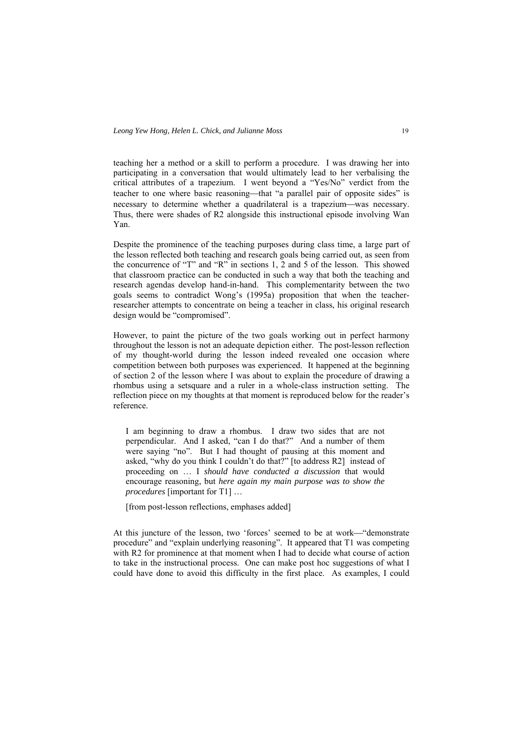teaching her a method or a skill to perform a procedure. I was drawing her into participating in a conversation that would ultimately lead to her verbalising the critical attributes of a trapezium. I went beyond a "Yes/No" verdict from the teacher to one where basic reasoning—that "a parallel pair of opposite sides" is necessary to determine whether a quadrilateral is a trapezium—was necessary. Thus, there were shades of R2 alongside this instructional episode involving Wan Yan.

Despite the prominence of the teaching purposes during class time, a large part of the lesson reflected both teaching and research goals being carried out, as seen from the concurrence of "T" and "R" in sections 1, 2 and 5 of the lesson. This showed that classroom practice can be conducted in such a way that both the teaching and research agendas develop hand-in-hand. This complementarity between the two goals seems to contradict Wong's (1995a) proposition that when the teacherresearcher attempts to concentrate on being a teacher in class, his original research design would be "compromised".

However, to paint the picture of the two goals working out in perfect harmony throughout the lesson is not an adequate depiction either. The post-lesson reflection of my thought-world during the lesson indeed revealed one occasion where competition between both purposes was experienced. It happened at the beginning of section 2 of the lesson where I was about to explain the procedure of drawing a rhombus using a setsquare and a ruler in a whole-class instruction setting. The reflection piece on my thoughts at that moment is reproduced below for the reader's reference.

I am beginning to draw a rhombus. I draw two sides that are not perpendicular. And I asked, "can I do that?" And a number of them were saying "no". But I had thought of pausing at this moment and asked, "why do you think I couldn't do that?" [to address R2] instead of proceeding on … I *should have conducted a discussion* that would encourage reasoning, but *here again my main purpose was to show the procedures* [important for T1] …

[from post-lesson reflections, emphases added]

At this juncture of the lesson, two 'forces' seemed to be at work—"demonstrate procedure" and "explain underlying reasoning". It appeared that T1 was competing with R2 for prominence at that moment when I had to decide what course of action to take in the instructional process. One can make post hoc suggestions of what I could have done to avoid this difficulty in the first place. As examples, I could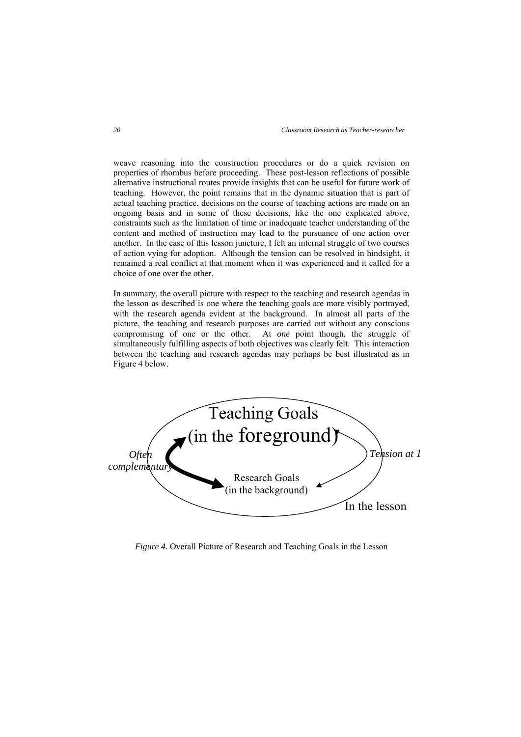weave reasoning into the construction procedures or do a quick revision on properties of rhombus before proceeding. These post-lesson reflections of possible alternative instructional routes provide insights that can be useful for future work of teaching. However, the point remains that in the dynamic situation that is part of actual teaching practice, decisions on the course of teaching actions are made on an ongoing basis and in some of these decisions, like the one explicated above, constraints such as the limitation of time or inadequate teacher understanding of the content and method of instruction may lead to the pursuance of one action over another. In the case of this lesson juncture, I felt an internal struggle of two courses of action vying for adoption. Although the tension can be resolved in hindsight, it remained a real conflict at that moment when it was experienced and it called for a choice of one over the other.

In summary, the overall picture with respect to the teaching and research agendas in the lesson as described is one where the teaching goals are more visibly portrayed, with the research agenda evident at the background. In almost all parts of the picture, the teaching and research purposes are carried out without any conscious compromising of one or the other. At *one* point though, the struggle of simultaneously fulfilling aspects of both objectives was clearly felt. This interaction between the teaching and research agendas may perhaps be best illustrated as in Figure 4 below.



*Figure 4.* Overall Picture of Research and Teaching Goals in the Lesson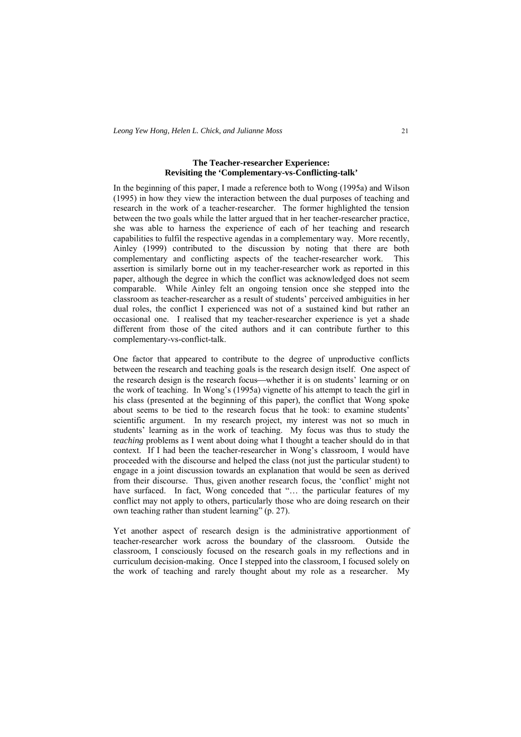## **The Teacher-researcher Experience: Revisiting the 'Complementary-vs-Conflicting-talk'**

In the beginning of this paper, I made a reference both to Wong (1995a) and Wilson (1995) in how they view the interaction between the dual purposes of teaching and research in the work of a teacher-researcher. The former highlighted the tension between the two goals while the latter argued that in her teacher-researcher practice, she was able to harness the experience of each of her teaching and research capabilities to fulfil the respective agendas in a complementary way. More recently, Ainley (1999) contributed to the discussion by noting that there are both complementary and conflicting aspects of the teacher-researcher work. This assertion is similarly borne out in my teacher-researcher work as reported in this paper, although the degree in which the conflict was acknowledged does not seem comparable. While Ainley felt an ongoing tension once she stepped into the classroom as teacher-researcher as a result of students' perceived ambiguities in her dual roles, the conflict I experienced was not of a sustained kind but rather an occasional one. I realised that my teacher-researcher experience is yet a shade different from those of the cited authors and it can contribute further to this complementary-vs-conflict-talk.

One factor that appeared to contribute to the degree of unproductive conflicts between the research and teaching goals is the research design itself. One aspect of the research design is the research focus—whether it is on students' learning or on the work of teaching. In Wong's (1995a) vignette of his attempt to teach the girl in his class (presented at the beginning of this paper), the conflict that Wong spoke about seems to be tied to the research focus that he took: to examine students' scientific argument. In my research project, my interest was not so much in students' learning as in the work of teaching. My focus was thus to study the *teaching* problems as I went about doing what I thought a teacher should do in that context. If I had been the teacher-researcher in Wong's classroom, I would have proceeded with the discourse and helped the class (not just the particular student) to engage in a joint discussion towards an explanation that would be seen as derived from their discourse. Thus, given another research focus, the 'conflict' might not have surfaced. In fact, Wong conceded that "... the particular features of my conflict may not apply to others, particularly those who are doing research on their own teaching rather than student learning" (p. 27).

Yet another aspect of research design is the administrative apportionment of teacher-researcher work across the boundary of the classroom. Outside the classroom, I consciously focused on the research goals in my reflections and in curriculum decision-making. Once I stepped into the classroom, I focused solely on the work of teaching and rarely thought about my role as a researcher. My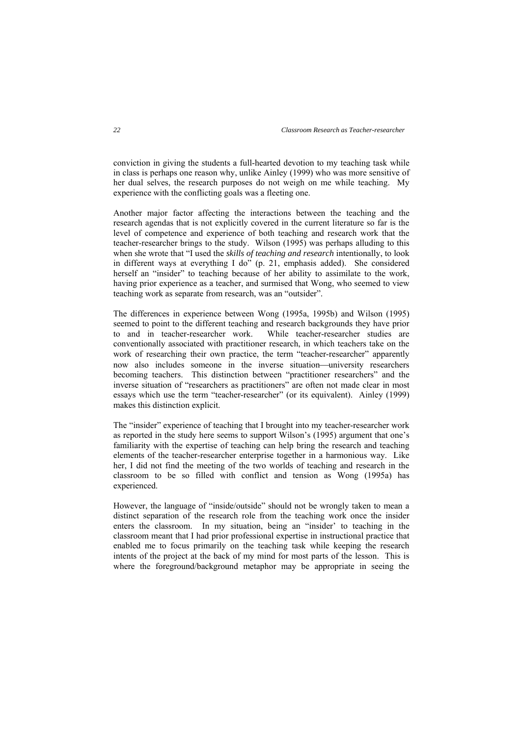conviction in giving the students a full-hearted devotion to my teaching task while in class is perhaps one reason why, unlike Ainley (1999) who was more sensitive of her dual selves, the research purposes do not weigh on me while teaching. My experience with the conflicting goals was a fleeting one.

Another major factor affecting the interactions between the teaching and the research agendas that is not explicitly covered in the current literature so far is the level of competence and experience of both teaching and research work that the teacher-researcher brings to the study. Wilson (1995) was perhaps alluding to this when she wrote that "I used the *skills of teaching and research* intentionally, to look in different ways at everything I do" (p. 21, emphasis added). She considered herself an "insider" to teaching because of her ability to assimilate to the work, having prior experience as a teacher, and surmised that Wong, who seemed to view teaching work as separate from research, was an "outsider".

The differences in experience between Wong (1995a, 1995b) and Wilson (1995) seemed to point to the different teaching and research backgrounds they have prior to and in teacher-researcher work. While teacher-researcher studies are conventionally associated with practitioner research, in which teachers take on the work of researching their own practice, the term "teacher-researcher" apparently now also includes someone in the inverse situation—university researchers becoming teachers. This distinction between "practitioner researchers" and the inverse situation of "researchers as practitioners" are often not made clear in most essays which use the term "teacher-researcher" (or its equivalent). Ainley (1999) makes this distinction explicit.

The "insider" experience of teaching that I brought into my teacher-researcher work as reported in the study here seems to support Wilson's (1995) argument that one's familiarity with the expertise of teaching can help bring the research and teaching elements of the teacher-researcher enterprise together in a harmonious way. Like her, I did not find the meeting of the two worlds of teaching and research in the classroom to be so filled with conflict and tension as Wong (1995a) has experienced.

However, the language of "inside/outside" should not be wrongly taken to mean a distinct separation of the research role from the teaching work once the insider enters the classroom. In my situation, being an "insider' to teaching in the classroom meant that I had prior professional expertise in instructional practice that enabled me to focus primarily on the teaching task while keeping the research intents of the project at the back of my mind for most parts of the lesson. This is where the foreground/background metaphor may be appropriate in seeing the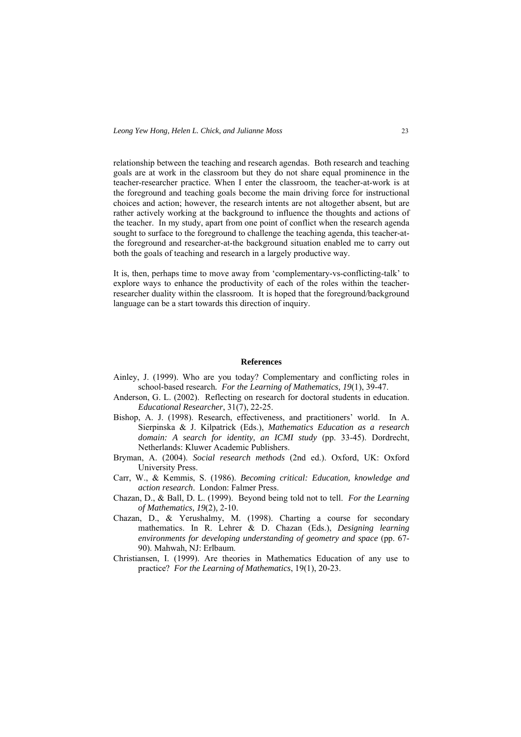relationship between the teaching and research agendas. Both research and teaching goals are at work in the classroom but they do not share equal prominence in the teacher-researcher practice. When I enter the classroom, the teacher-at-work is at the foreground and teaching goals become the main driving force for instructional choices and action; however, the research intents are not altogether absent, but are rather actively working at the background to influence the thoughts and actions of the teacher. In my study, apart from one point of conflict when the research agenda sought to surface to the foreground to challenge the teaching agenda, this teacher-atthe foreground and researcher-at-the background situation enabled me to carry out both the goals of teaching and research in a largely productive way.

It is, then, perhaps time to move away from 'complementary-vs-conflicting-talk' to explore ways to enhance the productivity of each of the roles within the teacherresearcher duality within the classroom. It is hoped that the foreground/background language can be a start towards this direction of inquiry.

#### **References**

- Ainley, J. (1999). Who are you today? Complementary and conflicting roles in school-based research*. For the Learning of Mathematics, 19*(1), 39-47.
- Anderson, G. L. (2002). Reflecting on research for doctoral students in education. *Educational Researcher*, 31(7), 22-25. Bishop, A. J. (1998). Research, effectiveness, and practitioners' world. In A.
- Sierpinska & J. Kilpatrick (Eds.), *Mathematics Education as a research domain: A search for identity, an ICMI study* (pp. 33-45). Dordrecht, Netherlands: Kluwer Academic Publishers.
- Bryman, A. (2004). *Social research methods* (2nd ed.). Oxford, UK: Oxford University Press.
- Carr, W., & Kemmis, S. (1986). *Becoming critical: Education, knowledge and action research*. London: Falmer Press.
- Chazan, D., & Ball, D. L. (1999). Beyond being told not to tell. *For the Learning of Mathematics, 19*(2)*,* 2-10.
- Chazan, D., & Yerushalmy, M. (1998). Charting a course for secondary mathematics. In R. Lehrer & D. Chazan (Eds.), *Designing learning environments for developing understanding of geometry and space* (pp. 67- 90). Mahwah, NJ: Erlbaum. Christiansen, I. (1999). Are theories in Mathematics Education of any use to
- practice? *For the Learning of Mathematics*, 19(1), 20-23.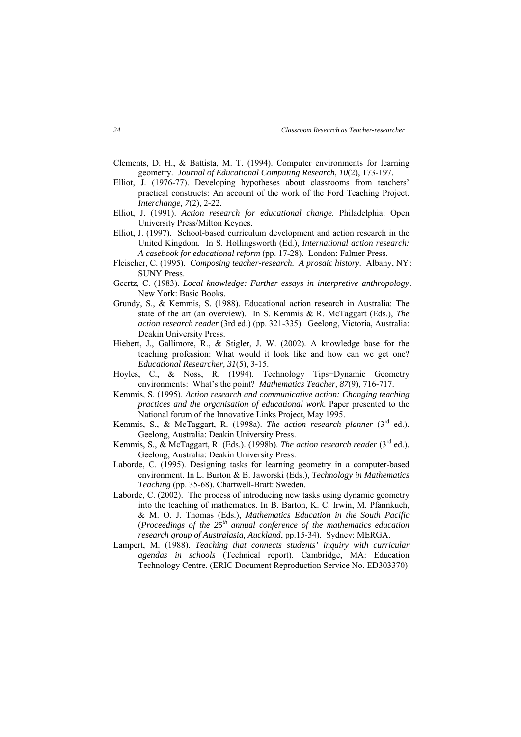- Clements, D. H., & Battista, M. T. (1994). Computer environments for learning geometry. *Journal of Educational Computing Research, 10*(2), 173-197.
- Elliot, J. (1976-77). Developing hypotheses about classrooms from teachers' practical constructs: An account of the work of the Ford Teaching Project. *Interchange, 7*(2), 2-22.
- Elliot, J. (1991). *Action research for educational change*. Philadelphia: Open University Press/Milton Keynes.
- Elliot, J. (1997). School-based curriculum development and action research in the United Kingdom. In S. Hollingsworth (Ed.), *International action research: A casebook for educational reform* (pp. 17-28). London: Falmer Press.
- Fleischer, C. (1995). *Composing teacher-research. A prosaic history*. Albany, NY: SUNY Press. Geertz, C. (1983). *Local knowledge: Further essays in interpretive anthropology*.
- New York: Basic Books.
- Grundy, S., & Kemmis, S. (1988). Educational action research in Australia: The state of the art (an overview). In S. Kemmis & R. McTaggart (Eds.), *The action research reader* (3rd ed.) (pp. 321-335). Geelong, Victoria, Australia: Deakin University Press.
- Hiebert, J., Gallimore, R., & Stigler, J. W. (2002). A knowledge base for the teaching profession: What would it look like and how can we get one? *Educational Researcher, 31*(5), 3-15.
- Hoyles, C., & Noss, R. (1994). Technology Tips−Dynamic Geometry environments: What's the point? *Mathematics Teacher, 87*(9), 716-717.
- Kemmis, S. (1995). *Action research and communicative action: Changing teaching practices and the organisation of educational work*. Paper presented to the National forum of the Innovative Links Project, May 1995.
- Kemmis, S., & McTaggart, R. (1998a). *The action research planner* (3<sup>rd</sup> ed.). Geelong, Australia: Deakin University Press.
- Kemmis, S., & McTaggart, R. (Eds.). (1998b). *The action research reader* (3<sup>rd</sup> ed.). Geelong, Australia: Deakin University Press.
- Laborde, C. (1995). Designing tasks for learning geometry in a computer-based environment. In L. Burton & B. Jaworski (Eds.), *Technology in Mathematics Teaching* (pp. 35-68). Chartwell-Bratt: Sweden.
- Laborde, C. (2002). The process of introducing new tasks using dynamic geometry into the teaching of mathematics. In B. Barton, K. C. Irwin, M. Pfannkuch, & M. O. J. Thomas (Eds.), *Mathematics Education in the South Pacific* (*Proceedings of the 25th annual conference of the mathematics education research group of Australasia, Auckland*, pp.15-34). Sydney: MERGA.
- Lampert, M. (1988). *Teaching that connects students' inquiry with curricular agendas in schools* (Technical report). Cambridge, MA: Education Technology Centre. (ERIC Document Reproduction Service No. ED303370)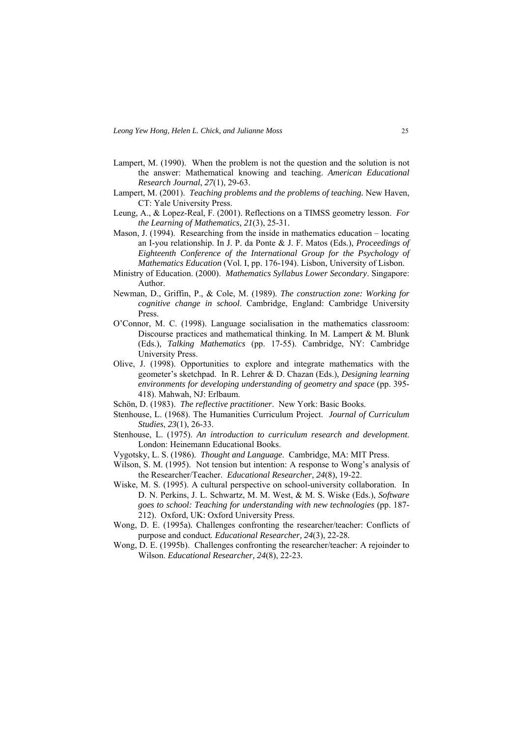- Lampert, M. (1990). When the problem is not the question and the solution is not the answer: Mathematical knowing and teaching. *American Educational Research Journal*, *27*(1), 29-63.
- Lampert, M. (2001). *Teaching problems and the problems of teaching.* New Haven, CT: Yale University Press.
- Leung, A., & Lopez-Real, F. (2001). Reflections on a TIMSS geometry lesson. *For the Learning of Mathematics, 21*(3), 25-31.
- Mason, J. (1994). Researching from the inside in mathematics education locating an I-you relationship. In J. P. da Ponte & J. F. Matos (Eds.), *Proceedings of Eighteenth Conference of the International Group for the Psychology of Mathematics Education* (Vol. I, pp. 176-194). Lisbon, University of Lisbon.
- Ministry of Education. (2000). *Mathematics Syllabus Lower Secondary*. Singapore: Author.
- Newman, D., Griffin, P., & Cole, M. (1989). *The construction zone: Working for cognitive change in school*. Cambridge, England: Cambridge University **Press**.
- O'Connor, M. C. (1998). Language socialisation in the mathematics classroom: Discourse practices and mathematical thinking. In M. Lampert & M. Blunk (Eds.), *Talking Mathematics* (pp. 17-55). Cambridge, NY: Cambridge University Press.
- Olive, J. (1998). Opportunities to explore and integrate mathematics with the geometer's sketchpad. In R. Lehrer & D. Chazan (Eds.), *Designing learning environments for developing understanding of geometry and space* (pp. 395- 418). Mahwah, NJ: Erlbaum.
- Schön, D. (1983). *The reflective practitioner*. New York: Basic Books.
- Stenhouse, L. (1968). The Humanities Curriculum Project. *Journal of Curriculum Studies*, *23*(1), 26-33.
- Stenhouse, L. (1975). *An introduction to curriculum research and development*. London: Heinemann Educational Books.
- Vygotsky, L. S. (1986). *Thought and Language*. Cambridge, MA: MIT Press.
- Wilson, S. M. (1995). Not tension but intention: A response to Wong's analysis of the Researcher/Teacher. *Educational Researcher*, *24*(8), 19-22.
- Wiske, M. S. (1995). A cultural perspective on school-university collaboration. In D. N. Perkins, J. L. Schwartz, M. M. West, & M. S. Wiske (Eds.), *Software goes to school: Teaching for understanding with new technologies* (pp. 187- 212). Oxford, UK: Oxford University Press.
- Wong, D. E. (1995a)*.* Challenges confronting the researcher/teacher: Conflicts of purpose and conduct*. Educational Researcher, 24*(3), 22-28*.*
- Wong, D. E. (1995b).Challenges confronting the researcher/teacher: A rejoinder to Wilson. *Educational Researcher, 24*(8), 22-23*.*